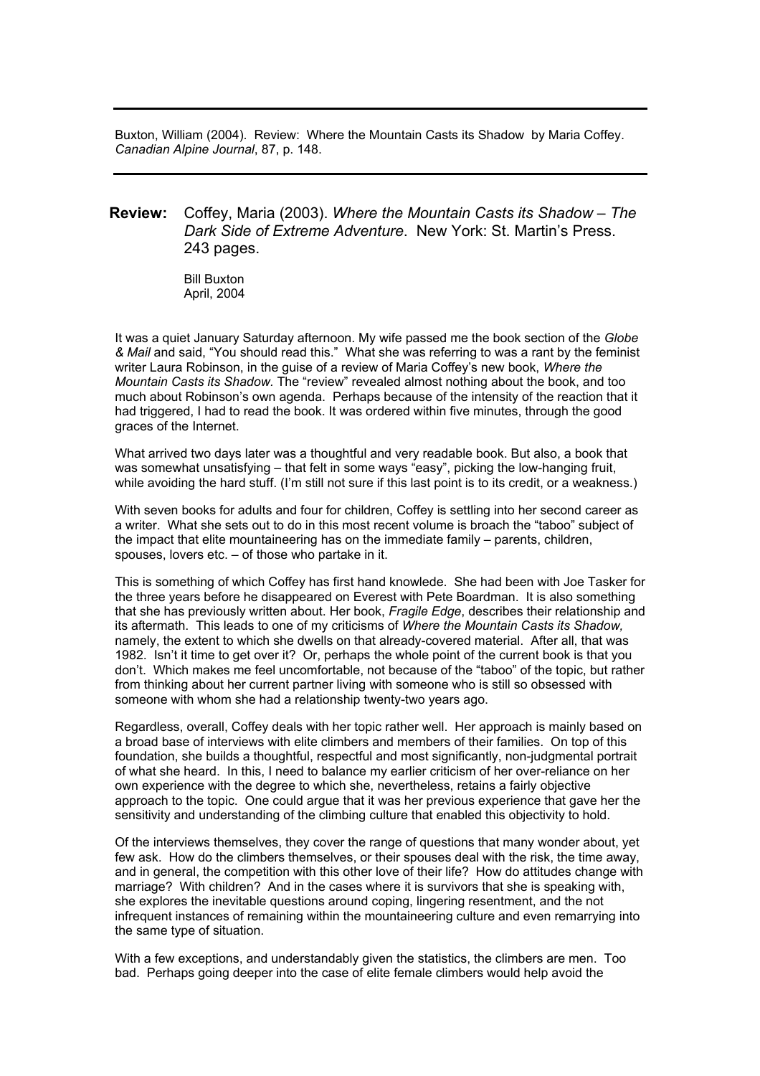Buxton, William (2004). Review: Where the Mountain Casts its Shadow by Maria Coffey. *Canadian Alpine Journal*, 87, p. 148.

## **Review:** Coffey, Maria (2003). *Where the Mountain Casts its Shadow – The Dark Side of Extreme Adventure*. New York: St. Martin's Press. 243 pages.

Bill Buxton April, 2004

It was a quiet January Saturday afternoon. My wife passed me the book section of the *Globe & Mail* and said, "You should read this." What she was referring to was a rant by the feminist writer Laura Robinson, in the guise of a review of Maria Coffey's new book, *Where the Mountain Casts its Shadow.* The "review" revealed almost nothing about the book, and too much about Robinson's own agenda. Perhaps because of the intensity of the reaction that it had triggered, I had to read the book. It was ordered within five minutes, through the good graces of the Internet.

What arrived two days later was a thoughtful and very readable book. But also, a book that was somewhat unsatisfying – that felt in some ways "easy", picking the low-hanging fruit, while avoiding the hard stuff. (I'm still not sure if this last point is to its credit, or a weakness.)

With seven books for adults and four for children, Coffey is settling into her second career as a writer. What she sets out to do in this most recent volume is broach the "taboo" subject of the impact that elite mountaineering has on the immediate family – parents, children, spouses, lovers etc. – of those who partake in it.

This is something of which Coffey has first hand knowlede. She had been with Joe Tasker for the three years before he disappeared on Everest with Pete Boardman. It is also something that she has previously written about. Her book, *Fragile Edge*, describes their relationship and its aftermath. This leads to one of my criticisms of *Where the Mountain Casts its Shadow,* namely, the extent to which she dwells on that already-covered material. After all, that was 1982. Isn't it time to get over it? Or, perhaps the whole point of the current book is that you don't. Which makes me feel uncomfortable, not because of the "taboo" of the topic, but rather from thinking about her current partner living with someone who is still so obsessed with someone with whom she had a relationship twenty-two years ago.

Regardless, overall, Coffey deals with her topic rather well. Her approach is mainly based on a broad base of interviews with elite climbers and members of their families. On top of this foundation, she builds a thoughtful, respectful and most significantly, non-judgmental portrait of what she heard. In this, I need to balance my earlier criticism of her over-reliance on her own experience with the degree to which she, nevertheless, retains a fairly objective approach to the topic. One could argue that it was her previous experience that gave her the sensitivity and understanding of the climbing culture that enabled this objectivity to hold.

Of the interviews themselves, they cover the range of questions that many wonder about, yet few ask. How do the climbers themselves, or their spouses deal with the risk, the time away, and in general, the competition with this other love of their life? How do attitudes change with marriage? With children? And in the cases where it is survivors that she is speaking with, she explores the inevitable questions around coping, lingering resentment, and the not infrequent instances of remaining within the mountaineering culture and even remarrying into the same type of situation.

With a few exceptions, and understandably given the statistics, the climbers are men. Too bad. Perhaps going deeper into the case of elite female climbers would help avoid the